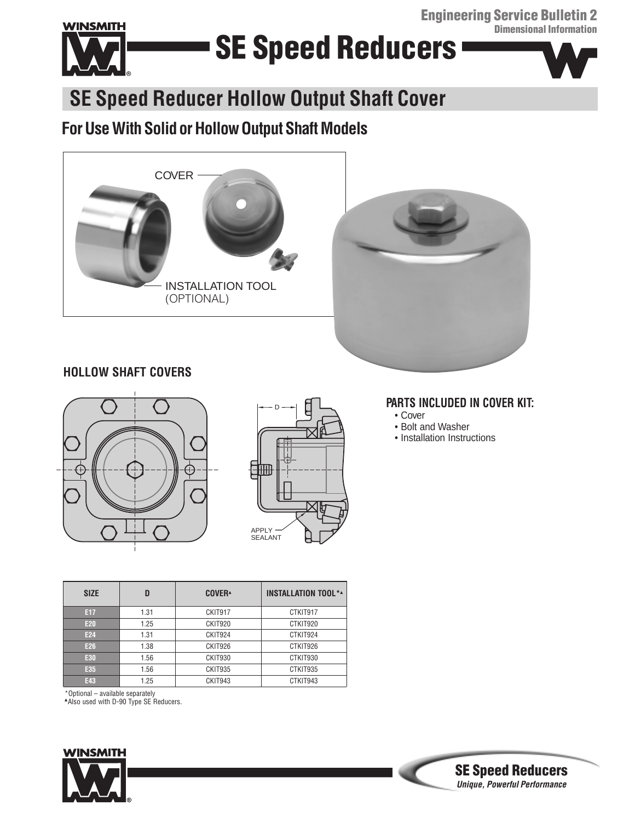**Engineering Service Bulletin 2 Dimensional Information**



# **SE Speed Reducers**



### **SE Speed Reducer Hollow Output Shaft Cover**

### **For Use With Solidor HollowOutput Shaft Models**





### **HOLLOW SHAFT COVERS**





#### **PARTS INCLUDED IN COVER KIT:**

- Cover
- Bolt and Washer
- Installation Instructions

| <b>SIZE</b> | D    | <b>COVER</b> <sup></sup> | <b>INSTALLATION TOOL**</b> |
|-------------|------|--------------------------|----------------------------|
| E17         | 1.31 | CKIT917                  | CTKIT917                   |
| <b>E20</b>  | 1.25 | CKIT920                  | CTKIT920                   |
| E24         | 1.31 | CKIT924                  | CTKIT924                   |
| E26         | 1.38 | CKIT926                  | CTKIT926                   |
| E30         | 1.56 | CKIT930                  | CTKIT930                   |
| E35         | 1.56 | CKIT935                  | CTKIT935                   |
| E43         | 1.25 | CKIT943                  | CTKIT943                   |

\*Optional – available separately

▲Also used with D-90 Type SE Reducers.